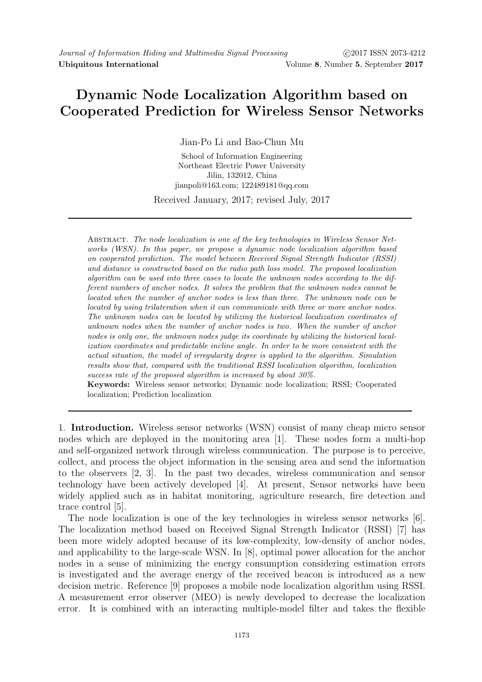## Dynamic Node Localization Algorithm based on Cooperated Prediction for Wireless Sensor Networks

Jian-Po Li and Bao-Chun Mu

School of Information Engineering Northeast Electric Power University Jilin, 132012, China jianpoli@163.com; 122489181@qq.com

Received January, 2017; revised July, 2017

Abstract. The node localization is one of the key technologies in Wireless Sensor Networks (WSN). In this paper, we propose a dynamic node localization algorithm based on cooperated prediction. The model between Received Signal Strength Indicator (RSSI) and distance is constructed based on the radio path loss model. The proposed localization algorithm can be used into three cases to locate the unknown nodes according to the different numbers of anchor nodes. It solves the problem that the unknown nodes cannot be located when the number of anchor nodes is less than three. The unknown node can be located by using trilateration when it can communicate with three or more anchor nodes. The unknown nodes can be located by utilizing the historical localization coordinates of unknown nodes when the number of anchor nodes is two. When the number of anchor nodes is only one, the unknown nodes judge its coordinate by utilizing the historical localization coordinates and predictable incline angle. In order to be more consistent with the actual situation, the model of irregularity degree is applied to the algorithm. Simulation results show that, compared with the traditional RSSI localization algorithm, localization success rate of the proposed algorithm is increased by about 30%.

Keywords: Wireless sensor networks; Dynamic node localization; RSSI; Cooperated localization; Prediction localization

1. Introduction. Wireless sensor networks (WSN) consist of many cheap micro sensor nodes which are deployed in the monitoring area [1]. These nodes form a multi-hop and self-organized network through wireless communication. The purpose is to perceive, collect, and process the object information in the sensing area and send the information to the observers [2, 3]. In the past two decades, wireless communication and sensor technology have been actively developed [4]. At present, Sensor networks have been widely applied such as in habitat monitoring, agriculture research, fire detection and trace control [5].

The node localization is one of the key technologies in wireless sensor networks [6]. The localization method based on Received Signal Strength Indicator (RSSI) [7] has been more widely adopted because of its low-complexity, low-density of anchor nodes, and applicability to the large-scale WSN. In [8], optimal power allocation for the anchor nodes in a sense of minimizing the energy consumption considering estimation errors is investigated and the average energy of the received beacon is introduced as a new decision metric. Reference [9] proposes a mobile node localization algorithm using RSSI. A measurement error observer (MEO) is newly developed to decrease the localization error. It is combined with an interacting multiple-model filter and takes the flexible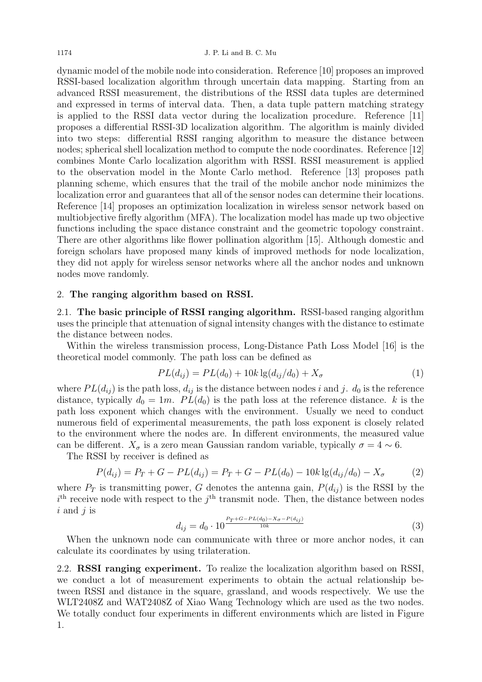dynamic model of the mobile node into consideration. Reference [10] proposes an improved RSSI-based localization algorithm through uncertain data mapping. Starting from an advanced RSSI measurement, the distributions of the RSSI data tuples are determined and expressed in terms of interval data. Then, a data tuple pattern matching strategy is applied to the RSSI data vector during the localization procedure. Reference [11] proposes a differential RSSI-3D localization algorithm. The algorithm is mainly divided into two steps: differential RSSI ranging algorithm to measure the distance between nodes; spherical shell localization method to compute the node coordinates. Reference [12] combines Monte Carlo localization algorithm with RSSI. RSSI measurement is applied to the observation model in the Monte Carlo method. Reference [13] proposes path planning scheme, which ensures that the trail of the mobile anchor node minimizes the localization error and guarantees that all of the sensor nodes can determine their locations. Reference [14] proposes an optimization localization in wireless sensor network based on multiobjective firefly algorithm (MFA). The localization model has made up two objective functions including the space distance constraint and the geometric topology constraint. There are other algorithms like flower pollination algorithm [15]. Although domestic and foreign scholars have proposed many kinds of improved methods for node localization, they did not apply for wireless sensor networks where all the anchor nodes and unknown nodes move randomly.

## 2. The ranging algorithm based on RSSI.

2.1. The basic principle of RSSI ranging algorithm. RSSI-based ranging algorithm uses the principle that attenuation of signal intensity changes with the distance to estimate the distance between nodes.

Within the wireless transmission process, Long-Distance Path Loss Model [16] is the theoretical model commonly. The path loss can be defined as

$$
PL(d_{ij}) = PL(d_0) + 10k \lg(d_{ij}/d_0) + X_{\sigma}
$$
\n(1)

where  $PL(d_{ij})$  is the path loss,  $d_{ij}$  is the distance between nodes i and j.  $d_0$  is the reference distance, typically  $d_0 = 1m$ .  $PL(d_0)$  is the path loss at the reference distance. k is the path loss exponent which changes with the environment. Usually we need to conduct numerous field of experimental measurements, the path loss exponent is closely related to the environment where the nodes are. In different environments, the measured value can be different.  $X_{\sigma}$  is a zero mean Gaussian random variable, typically  $\sigma = 4 \sim 6$ .

The RSSI by receiver is defined as

$$
P(d_{ij}) = P_T + G - PL(d_{ij}) = P_T + G - PL(d_0) - 10k \lg(d_{ij}/d_0) - X_{\sigma}
$$
 (2)

where  $P_T$  is transmitting power, G denotes the antenna gain,  $P(d_{ij})$  is the RSSI by the  $i<sup>th</sup>$  receive node with respect to the  $j<sup>th</sup>$  transmit node. Then, the distance between nodes  $i$  and  $j$  is

$$
d_{ij} = d_0 \cdot 10^{\frac{P_T + G - PL(d_0) - X_{\sigma} - P(d_{ij})}{10k}}
$$
\n(3)

When the unknown node can communicate with three or more anchor nodes, it can calculate its coordinates by using trilateration.

2.2. RSSI ranging experiment. To realize the localization algorithm based on RSSI, we conduct a lot of measurement experiments to obtain the actual relationship between RSSI and distance in the square, grassland, and woods respectively. We use the WLT2408Z and WAT2408Z of Xiao Wang Technology which are used as the two nodes. We totally conduct four experiments in different environments which are listed in Figure 1.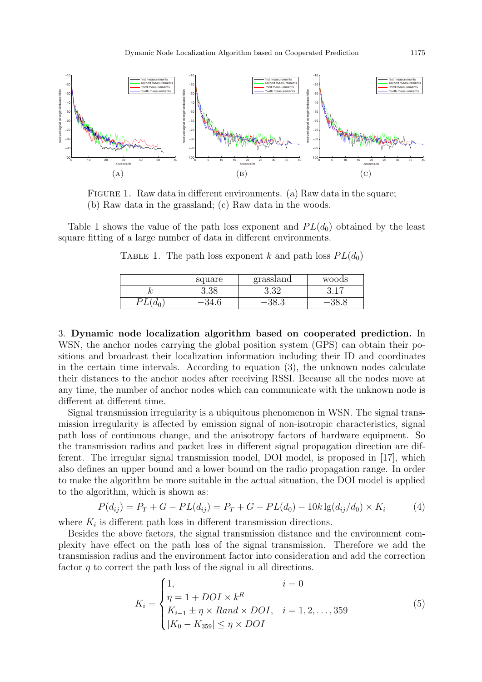

FIGURE 1. Raw data in different environments. (a) Raw data in the square; (b) Raw data in the grassland; (c) Raw data in the woods.

Table 1 shows the value of the path loss exponent and  $PL(d_0)$  obtained by the least square fitting of a large number of data in different environments.

TABLE 1. The path loss exponent k and path loss  $PL(d_0)$ 

|    | square   | grassland | woods                    |
|----|----------|-----------|--------------------------|
| ,, | $3.38\,$ | ບ.ບ∠      | $\overline{\phantom{a}}$ |
|    | $-94.0$  |           |                          |

3. Dynamic node localization algorithm based on cooperated prediction. In WSN, the anchor nodes carrying the global position system (GPS) can obtain their positions and broadcast their localization information including their ID and coordinates in the certain time intervals. According to equation (3), the unknown nodes calculate their distances to the anchor nodes after receiving RSSI. Because all the nodes move at any time, the number of anchor nodes which can communicate with the unknown node is different at different time.

Signal transmission irregularity is a ubiquitous phenomenon in WSN. The signal transmission irregularity is affected by emission signal of non-isotropic characteristics, signal path loss of continuous change, and the anisotropy factors of hardware equipment. So the transmission radius and packet loss in different signal propagation direction are different. The irregular signal transmission model, DOI model, is proposed in [17], which also defines an upper bound and a lower bound on the radio propagation range. In order to make the algorithm be more suitable in the actual situation, the DOI model is applied to the algorithm, which is shown as:

$$
P(d_{ij}) = P_T + G - PL(d_{ij}) = P_T + G - PL(d_0) - 10k \lg(d_{ij}/d_0) \times K_i
$$
 (4)

where  $K_i$  is different path loss in different transmission directions.

Besides the above factors, the signal transmission distance and the environment complexity have effect on the path loss of the signal transmission. Therefore we add the transmission radius and the environment factor into consideration and add the correction factor  $\eta$  to correct the path loss of the signal in all directions.

$$
K_{i} = \begin{cases} 1, & i = 0 \\ \eta = 1 + DOI \times k^{R} \\ K_{i-1} \pm \eta \times Rand \times DOI, & i = 1, 2, ..., 359 \\ |K_{0} - K_{359}| \le \eta \times DOI \end{cases}
$$
(5)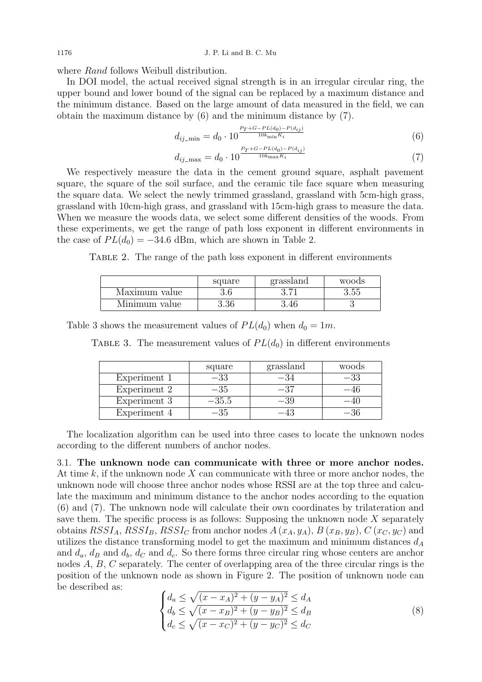where *Rand* follows Weibull distribution.

In DOI model, the actual received signal strength is in an irregular circular ring, the upper bound and lower bound of the signal can be replaced by a maximum distance and the minimum distance. Based on the large amount of data measured in the field, we can obtain the maximum distance by (6) and the minimum distance by (7).

$$
d_{ij\text{-min}} = d_0 \cdot 10^{\frac{P_T + G - PL(d_0) - P(d_{ij})}{10k_{\text{min}} K_i}}
$$
(6)

$$
d_{ij\text{-}\max} = d_0 \cdot 10^{\frac{P_T + G - PL(d_0) - P(d_{ij})}{10k_{\max} K_i}}
$$
(7)

We respectively measure the data in the cement ground square, asphalt pavement square, the square of the soil surface, and the ceramic tile face square when measuring the square data. We select the newly trimmed grassland, grassland with 5cm-high grass, grassland with 10cm-high grass, and grassland with 15cm-high grass to measure the data. When we measure the woods data, we select some different densities of the woods. From these experiments, we get the range of path loss exponent in different environments in the case of  $PL(d_0) = -34.6$  dBm, which are shown in Table 2.

Table 2. The range of the path loss exponent in different environments

|               | square  | grassland | woods |
|---------------|---------|-----------|-------|
| Maximum value | $3.6\,$ | ດ ອ1      | 3.55  |
| Minimum value | 3.36    | 3.46      |       |

Table 3 shows the measurement values of  $PL(d_0)$  when  $d_0 = 1m$ .

TABLE 3. The measurement values of  $PL(d_0)$  in different environments

|              | square    | grassland | woods |
|--------------|-----------|-----------|-------|
| Experiment 1 |           | -34       | -33   |
| Experiment 2 | -35       | -37       |       |
| Experiment 3 | $-35.5\,$ | –39       |       |
| Experiment 4 |           |           |       |

The localization algorithm can be used into three cases to locate the unknown nodes according to the different numbers of anchor nodes.

3.1. The unknown node can communicate with three or more anchor nodes. At time  $k$ , if the unknown node  $X$  can communicate with three or more anchor nodes, the unknown node will choose three anchor nodes whose RSSI are at the top three and calculate the maximum and minimum distance to the anchor nodes according to the equation (6) and (7). The unknown node will calculate their own coordinates by trilateration and save them. The specific process is as follows: Supposing the unknown node  $X$  separately obtains  $RSSI_A$ ,  $RSSI_B$ ,  $RSSI_C$  from anchor nodes  $A(x_A, y_A)$ ,  $B(x_B, y_B)$ ,  $C(x_C, y_C)$  and utilizes the distance transforming model to get the maximum and minimum distances  $d_A$ and  $d_a$ ,  $d_B$  and  $d_b$ ,  $d_C$  and  $d_c$ . So there forms three circular ring whose centers are anchor nodes A, B, C separately. The center of overlapping area of the three circular rings is the position of the unknown node as shown in Figure 2. The position of unknown node can be described as:

$$
\begin{cases} d_a \le \sqrt{(x - x_A)^2 + (y - y_A)^2} \le d_A \\ d_b \le \sqrt{(x - x_B)^2 + (y - y_B)^2} \le d_B \\ d_c \le \sqrt{(x - x_C)^2 + (y - y_C)^2} \le d_C \end{cases} \tag{8}
$$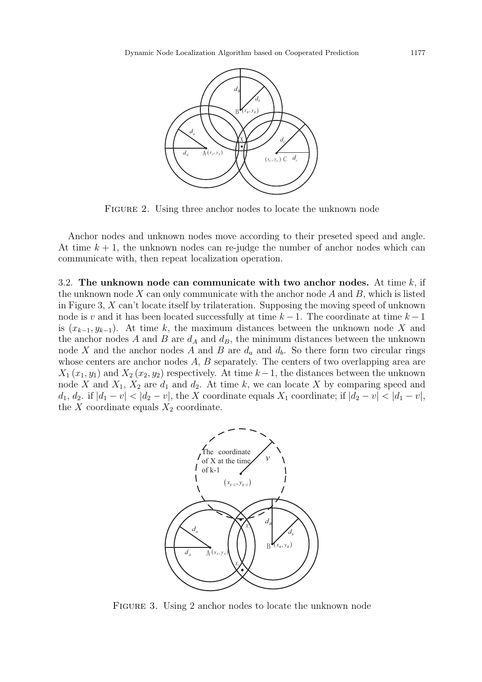

FIGURE 2. Using three anchor nodes to locate the unknown node

Anchor nodes and unknown nodes move according to their preseted speed and angle. At time  $k + 1$ , the unknown nodes can re-judge the number of anchor nodes which can communicate with, then repeat localization operation.

3.2. The unknown node can communicate with two anchor nodes. At time  $k$ , if the unknown node  $X$  can only communicate with the anchor node  $A$  and  $B$ , which is listed in Figure 3, X can't locate itself by trilateration. Supposing the moving speed of unknown node is v and it has been located successfully at time  $k-1$ . The coordinate at time  $k-1$ is  $(x_{k-1}, y_{k-1})$ . At time k, the maximum distances between the unknown node X and the anchor nodes A and B are  $d_A$  and  $d_B$ , the minimum distances between the unknown node X and the anchor nodes A and B are  $d_a$  and  $d_b$ . So there form two circular rings whose centers are anchor nodes A, B separately. The centers of two overlapping area are  $X_1(x_1, y_1)$  and  $X_2(x_2, y_2)$  respectively. At time  $k-1$ , the distances between the unknown node X and  $X_1, X_2$  are  $d_1$  and  $d_2$ . At time k, we can locate X by comparing speed and  $d_1, d_2$ . if  $|d_1 - v| < |d_2 - v|$ , the X coordinate equals  $X_1$  coordinate; if  $|d_2 - v| < |d_1 - v|$ , the X coordinate equals  $X_2$  coordinate.



FIGURE 3. Using 2 anchor nodes to locate the unknown node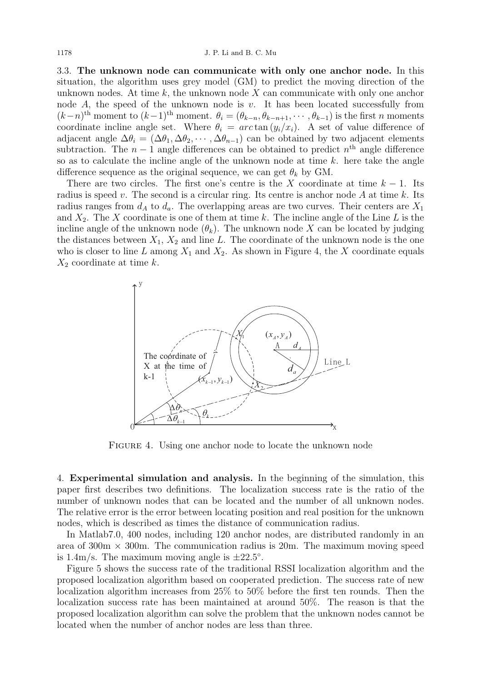3.3. The unknown node can communicate with only one anchor node. In this situation, the algorithm uses grey model (GM) to predict the moving direction of the unknown nodes. At time k, the unknown node  $X$  can communicate with only one anchor node A, the speed of the unknown node is  $v$ . It has been located successfully from  $(k-n)$ <sup>th</sup> moment to  $(k-1)$ <sup>th</sup> moment.  $\theta_i = (\theta_{k-n}, \theta_{k-n+1}, \cdots, \theta_{k-1})$  is the first *n* moments coordinate incline angle set. Where  $\theta_i = \arctan(y_i/x_i)$ . A set of value difference of adjacent angle  $\Delta\theta_i = (\Delta\theta_1, \Delta\theta_2, \cdots, \Delta\theta_{n-1})$  can be obtained by two adjacent elements subtraction. The  $n-1$  angle differences can be obtained to predict  $n<sup>th</sup>$  angle difference so as to calculate the incline angle of the unknown node at time  $k$ . here take the angle difference sequence as the original sequence, we can get  $\theta_k$  by GM.

There are two circles. The first one's centre is the X coordinate at time  $k - 1$ . Its radius is speed v. The second is a circular ring. Its centre is anchor node A at time k. Its radius ranges from  $d_A$  to  $d_a$ . The overlapping areas are two curves. Their centers are  $X_1$ and  $X_2$ . The X coordinate is one of them at time k. The incline angle of the Line L is the incline angle of the unknown node  $(\theta_k)$ . The unknown node X can be located by judging the distances between  $X_1, X_2$  and line L. The coordinate of the unknown node is the one who is closer to line L among  $X_1$  and  $X_2$ . As shown in Figure 4, the X coordinate equals  $X_2$  coordinate at time k.



FIGURE 4. Using one anchor node to locate the unknown node

4. Experimental simulation and analysis. In the beginning of the simulation, this paper first describes two definitions. The localization success rate is the ratio of the number of unknown nodes that can be located and the number of all unknown nodes. The relative error is the error between locating position and real position for the unknown nodes, which is described as times the distance of communication radius.

In Matlab7.0, 400 nodes, including 120 anchor nodes, are distributed randomly in an area of  $300 \text{m} \times 300 \text{m}$ . The communication radius is  $20 \text{m}$ . The maximum moving speed is  $1.4 \text{m/s}$ . The maximum moving angle is  $\pm 22.5^{\circ}$ .

Figure 5 shows the success rate of the traditional RSSI localization algorithm and the proposed localization algorithm based on cooperated prediction. The success rate of new localization algorithm increases from 25% to 50% before the first ten rounds. Then the localization success rate has been maintained at around 50%. The reason is that the proposed localization algorithm can solve the problem that the unknown nodes cannot be located when the number of anchor nodes are less than three.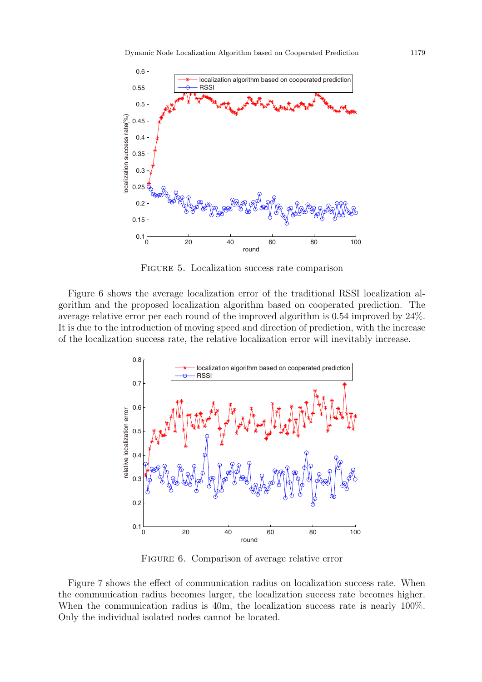

Figure 5. Localization success rate comparison

Figure 6 shows the average localization error of the traditional RSSI localization algorithm and the proposed localization algorithm based on cooperated prediction. The average relative error per each round of the improved algorithm is 0.54 improved by 24%. It is due to the introduction of moving speed and direction of prediction, with the increase of the localization success rate, the relative localization error will inevitably increase.



FIGURE 6. Comparison of average relative error

Figure 7 shows the effect of communication radius on localization success rate. When the communication radius becomes larger, the localization success rate becomes higher. When the communication radius is 40m, the localization success rate is nearly 100%. Only the individual isolated nodes cannot be located.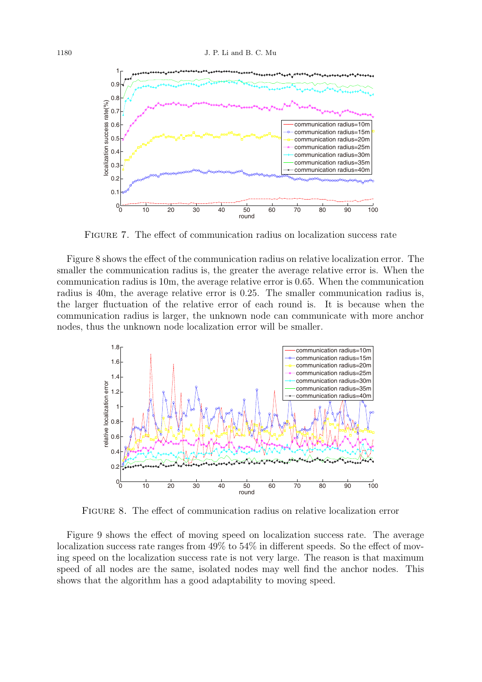

Figure 7. The effect of communication radius on localization success rate

Figure 8 shows the effect of the communication radius on relative localization error. The smaller the communication radius is, the greater the average relative error is. When the communication radius is 10m, the average relative error is 0.65. When the communication radius is 40m, the average relative error is 0.25. The smaller communication radius is, the larger fluctuation of the relative error of each round is. It is because when the communication radius is larger, the unknown node can communicate with more anchor nodes, thus the unknown node localization error will be smaller.



Figure 8. The effect of communication radius on relative localization error

Figure 9 shows the effect of moving speed on localization success rate. The average localization success rate ranges from  $49\%$  to  $54\%$  in different speeds. So the effect of moving speed on the localization success rate is not very large. The reason is that maximum speed of all nodes are the same, isolated nodes may well find the anchor nodes. This shows that the algorithm has a good adaptability to moving speed.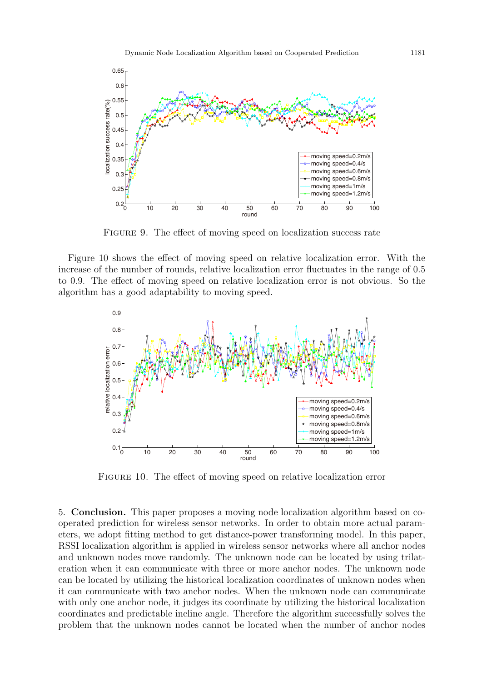

FIGURE 9. The effect of moving speed on localization success rate

Figure 10 shows the effect of moving speed on relative localization error. With the increase of the number of rounds, relative localization error fluctuates in the range of 0.5 to 0.9. The effect of moving speed on relative localization error is not obvious. So the algorithm has a good adaptability to moving speed.



FIGURE 10. The effect of moving speed on relative localization error

5. Conclusion. This paper proposes a moving node localization algorithm based on cooperated prediction for wireless sensor networks. In order to obtain more actual parameters, we adopt fitting method to get distance-power transforming model. In this paper, RSSI localization algorithm is applied in wireless sensor networks where all anchor nodes and unknown nodes move randomly. The unknown node can be located by using trilateration when it can communicate with three or more anchor nodes. The unknown node can be located by utilizing the historical localization coordinates of unknown nodes when it can communicate with two anchor nodes. When the unknown node can communicate with only one anchor node, it judges its coordinate by utilizing the historical localization coordinates and predictable incline angle. Therefore the algorithm successfully solves the problem that the unknown nodes cannot be located when the number of anchor nodes